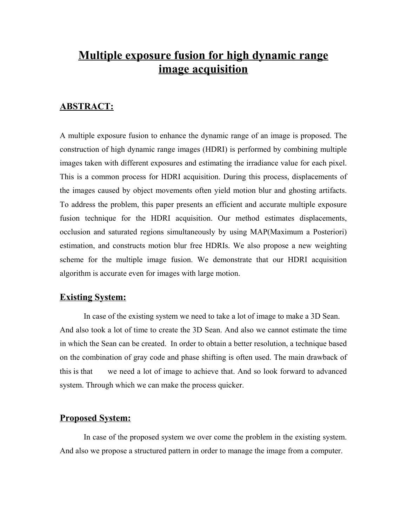# **Multiple exposure fusion for high dynamic range image acquisition**

### **ABSTRACT:**

A multiple exposure fusion to enhance the dynamic range of an image is proposed. The construction of high dynamic range images (HDRI) is performed by combining multiple images taken with different exposures and estimating the irradiance value for each pixel. This is a common process for HDRI acquisition. During this process, displacements of the images caused by object movements often yield motion blur and ghosting artifacts. To address the problem, this paper presents an efficient and accurate multiple exposure fusion technique for the HDRI acquisition. Our method estimates displacements, occlusion and saturated regions simultaneously by using MAP(Maximum a Posteriori) estimation, and constructs motion blur free HDRIs. We also propose a new weighting scheme for the multiple image fusion. We demonstrate that our HDRI acquisition algorithm is accurate even for images with large motion.

#### **Existing System:**

In case of the existing system we need to take a lot of image to make a 3D Sean. And also took a lot of time to create the 3D Sean. And also we cannot estimate the time in which the Sean can be created. In order to obtain a better resolution, a technique based on the combination of gray code and phase shifting is often used. The main drawback of this is that we need a lot of image to achieve that. And so look forward to advanced system. Through which we can make the process quicker.

#### **Proposed System:**

In case of the proposed system we over come the problem in the existing system. And also we propose a structured pattern in order to manage the image from a computer.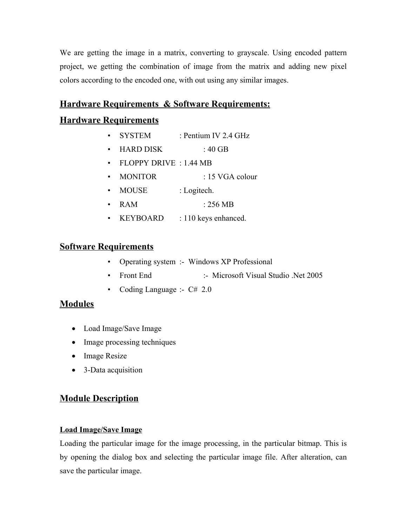We are getting the image in a matrix, converting to grayscale. Using encoded pattern project, we getting the combination of image from the matrix and adding new pixel colors according to the encoded one, with out using any similar images.

## **Hardware Requirements & Software Requirements:**

# **Hardware Requirements**

- SYSTEM : Pentium IV 2.4 GHz
- $HARD DISK$  : 40 GB
- FLOPPY DRIVE : 1.44 MB
- MONITOR : 15 VGA colour
- MOUSE : Logitech.
- RAM : 256 MB
- KEYBOARD : 110 keys enhanced.

# **Software Requirements**

- Operating system :- Windows XP Professional
- Front End :- Microsoft Visual Studio .Net 2005
- Coding Language :-  $C# 2.0$

## **Modules**

- · Load Image/Save Image
- Image processing techniques
- Image Resize
- 3-Data acquisition

# **Module Description**

#### **Load Image/Save Image**

Loading the particular image for the image processing, in the particular bitmap. This is by opening the dialog box and selecting the particular image file. After alteration, can save the particular image.